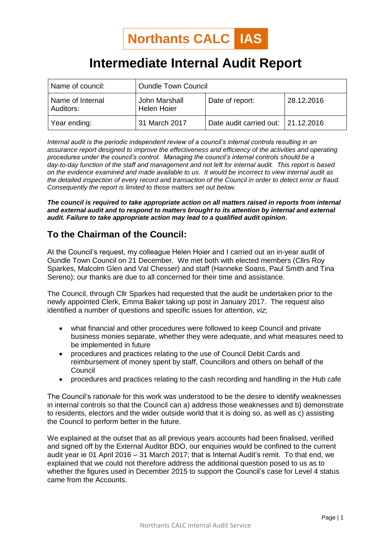# **Intermediate Internal Audit Report**

| Name of council:              | <b>Oundle Town Council</b>          |                                      |            |
|-------------------------------|-------------------------------------|--------------------------------------|------------|
| Name of Internal<br>Auditors: | John Marshall<br><b>Helen Hoier</b> | Date of report:                      | 28.12.2016 |
| Year ending:                  | 31 March 2017                       | Date audit carried out:   21.12.2016 |            |

*Internal audit is the periodic independent review of a council's internal controls resulting in an assurance report designed to improve the effectiveness and efficiency of the activities and operating procedures under the council's control. Managing the council's internal controls should be a day-to-day function of the staff and management and not left for internal audit. This report is based on the evidence examined and made available to us. It would be incorrect to view internal audit as the detailed inspection of every record and transaction of the Council in order to detect error or fraud. Consequently the report is limited to those matters set out below.*

*The council is required to take appropriate action on all matters raised in reports from internal and external audit and to respond to matters brought to its attention by internal and external audit. Failure to take appropriate action may lead to a qualified audit opinion.*

# **To the Chairman of the Council:**

At the Council's request, my colleague Helen Hoier and I carried out an in-year audit of Oundle Town Council on 21 December. We met both with elected members (Cllrs Roy Sparkes, Malcolm Glen and Val Chesser) and staff (Hanneke Soans, Paul Smith and Tina Sereno); our thanks are due to all concerned for their time and assistance.

The Council, through Cllr Sparkes had requested that the audit be undertaken prior to the newly appointed Clerk, Emma Baker taking up post in January 2017. The request also identified a number of questions and specific issues for attention, *viz*;

- what financial and other procedures were followed to keep Council and private business monies separate, whether they were adequate, and what measures need to be implemented in future
- procedures and practices relating to the use of Council Debit Cards and reimbursement of money spent by staff, Councillors and others on behalf of the **Council**
- procedures and practices relating to the cash recording and handling in the Hub cafe

The Council's *rationale* for this work was understood to be the desire to identify weaknesses in internal controls so that the Council can a) address those weaknesses and b) demonstrate to residents, electors and the wider outside world that it is doing so, as well as c) assisting the Council to perform better in the future.

We explained at the outset that as all previous years accounts had been finalised, verified and signed off by the External Auditor BDO, our enquiries would be confined to the current audit year ie 01 April 2016 – 31 March 2017; that is Internal Audit's remit. To that end, we explained that we could not therefore address the additional question posed to us as to whether the figures used in December 2015 to support the Council's case for Level 4 status came from the Accounts.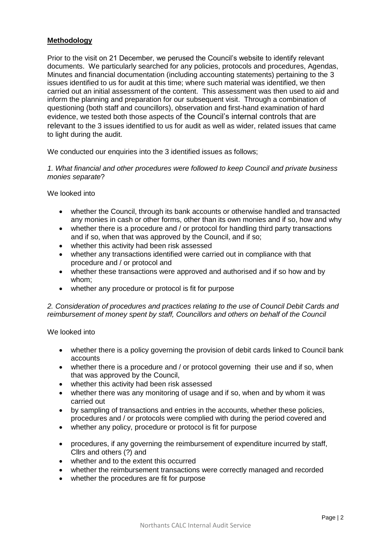## **Methodology**

Prior to the visit on 21 December, we perused the Council's website to identify relevant documents. We particularly searched for any policies, protocols and procedures, Agendas, Minutes and financial documentation (including accounting statements) pertaining to the 3 issues identified to us for audit at this time; where such material was identified, we then carried out an initial assessment of the content. This assessment was then used to aid and inform the planning and preparation for our subsequent visit. Through a combination of questioning (both staff and councillors), observation and first-hand examination of hard evidence, we tested both those aspects of the Council's internal controls that are relevant to the 3 issues identified to us for audit as well as wider, related issues that came to light during the audit.

We conducted our enquiries into the 3 identified issues as follows;

*1. What financial and other procedures were followed to keep Council and private business monies separate*?

We looked into

- whether the Council, through its bank accounts or otherwise handled and transacted any monies in cash or other forms, other than its own monies and if so, how and why
- whether there is a procedure and / or protocol for handling third party transactions and if so, when that was approved by the Council, and if so;
- whether this activity had been risk assessed
- whether any transactions identified were carried out in compliance with that procedure and / or protocol and
- whether these transactions were approved and authorised and if so how and by whom;
- whether any procedure or protocol is fit for purpose

#### *2. Consideration of procedures and practices relating to the use of Council Debit Cards and reimbursement of money spent by staff, Councillors and others on behalf of the Council*

We looked into

- whether there is a policy governing the provision of debit cards linked to Council bank accounts
- whether there is a procedure and / or protocol governing their use and if so, when that was approved by the Council,
- whether this activity had been risk assessed
- whether there was any monitoring of usage and if so, when and by whom it was carried out
- by sampling of transactions and entries in the accounts, whether these policies, procedures and / or protocols were complied with during the period covered and
- whether any policy, procedure or protocol is fit for purpose
- procedures, if any governing the reimbursement of expenditure incurred by staff, Cllrs and others (?) and
- whether and to the extent this occurred
- whether the reimbursement transactions were correctly managed and recorded
- whether the procedures are fit for purpose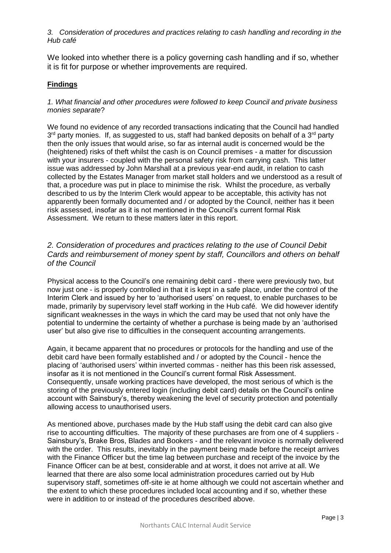#### *3. Consideration of procedures and practices relating to cash handling and recording in the Hub café*

We looked into whether there is a policy governing cash handling and if so, whether it is fit for purpose or whether improvements are required.

## **Findings**

#### *1. What financial and other procedures were followed to keep Council and private business monies separate*?

We found no evidence of any recorded transactions indicating that the Council had handled 3<sup>rd</sup> party monies. If, as suggested to us, staff had banked deposits on behalf of a 3<sup>rd</sup> party then the only issues that would arise, so far as internal audit is concerned would be the (heightened) risks of theft whilst the cash is on Council premises - a matter for discussion with your insurers - coupled with the personal safety risk from carrying cash. This latter issue was addressed by John Marshall at a previous year-end audit, in relation to cash collected by the Estates Manager from market stall holders and we understood as a result of that, a procedure was put in place to minimise the risk. Whilst the procedure, as verbally described to us by the Interim Clerk would appear to be acceptable, this activity has not apparently been formally documented and / or adopted by the Council, neither has it been risk assessed, insofar as it is not mentioned in the Council's current formal Risk Assessment. We return to these matters later in this report.

## *2. Consideration of procedures and practices relating to the use of Council Debit Cards and reimbursement of money spent by staff, Councillors and others on behalf of the Council*

Physical access to the Council's one remaining debit card - there were previously two, but now just one - is properly controlled in that it is kept in a safe place, under the control of the Interim Clerk and issued by her to 'authorised users' on request, to enable purchases to be made, primarily by supervisory level staff working in the Hub café. We did however identify significant weaknesses in the ways in which the card may be used that not only have the potential to undermine the certainty of whether a purchase is being made by an 'authorised user' but also give rise to difficulties in the consequent accounting arrangements.

Again, it became apparent that no procedures or protocols for the handling and use of the debit card have been formally established and / or adopted by the Council - hence the placing of 'authorised users' within inverted commas - neither has this been risk assessed, insofar as it is not mentioned in the Council's current formal Risk Assessment. Consequently, unsafe working practices have developed, the most serious of which is the storing of the previously entered login (including debit card) details on the Council's online account with Sainsbury's, thereby weakening the level of security protection and potentially allowing access to unauthorised users.

As mentioned above, purchases made by the Hub staff using the debit card can also give rise to accounting difficulties. The majority of these purchases are from one of 4 suppliers - Sainsbury's, Brake Bros, Blades and Bookers - and the relevant invoice is normally delivered with the order. This results, inevitably in the payment being made before the receipt arrives with the Finance Officer but the time lag between purchase and receipt of the invoice by the Finance Officer can be at best, considerable and at worst, it does not arrive at all. We learned that there are also some local administration procedures carried out by Hub supervisory staff, sometimes off-site ie at home although we could not ascertain whether and the extent to which these procedures included local accounting and if so, whether these were in addition to or instead of the procedures described above.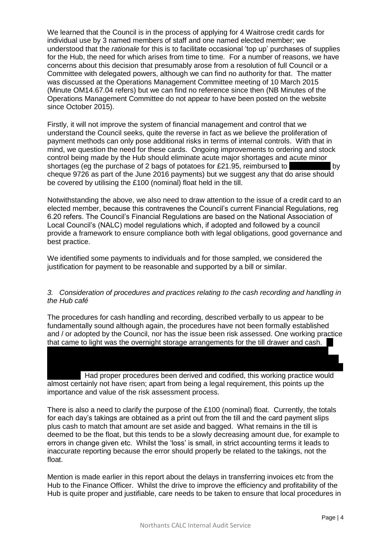We learned that the Council is in the process of applying for 4 Waitrose credit cards for individual use by 3 named members of staff and one named elected member; we understood that the *rationale* for this is to facilitate occasional 'top up' purchases of supplies for the Hub, the need for which arises from time to time. For a number of reasons, we have concerns about this decision that presumably arose from a resolution of full Council or a Committee with delegated powers, although we can find no authority for that. The matter was discussed at the Operations Management Committee meeting of 10 March 2015 (Minute OM14.67.04 refers) but we can find no reference since then (NB Minutes of the Operations Management Committee do not appear to have been posted on the website since October 2015).

Firstly, it will not improve the system of financial management and control that we understand the Council seeks, quite the reverse in fact as we believe the proliferation of payment methods can only pose additional risks in terms of internal controls. With that in mind, we question the need for these cards. Ongoing improvements to ordering and stock control being made by the Hub should eliminate acute major shortages and acute minor shortages (eg the purchase of 2 bags of potatoes for £21.95, reimbursed to Paula Prince by cheque 9726 as part of the June 2016 payments) but we suggest any that do arise should be covered by utilising the £100 (nominal) float held in the till.

Notwithstanding the above, we also need to draw attention to the issue of a credit card to an elected member, because this contravenes the Council's current Financial Regulations, reg 6.20 refers. The Council's Financial Regulations are based on the National Association of Local Council's (NALC) model regulations which, if adopted and followed by a council provide a framework to ensure compliance both with legal obligations, good governance and best practice.

We identified some payments to individuals and for those sampled, we considered the justification for payment to be reasonable and supported by a bill or similar.

#### *3. Consideration of procedures and practices relating to the cash recording and handling in the Hub café*

The procedures for cash handling and recording, described verbally to us appear to be fundamentally sound although again, the procedures have not been formally established and / or adopted by the Council, nor has the issue been risk assessed. One working practice that came to light was the overnight storage arrangements for the till drawer and cash.

Had proper procedures been derived and codified, this working practice would almost certainly not have risen; apart from being a legal requirement, this points up the importance and value of the risk assessment process.

the end of the business day, these were transferred to the oven, presumably for security reasons and perhaps inevitably given the nature of this bizarre working practice, there were reports of the oven having been turned on in the morning whilst the till drawer and cash were

There is also a need to clarify the purpose of the £100 (nominal) float. Currently, the totals for each day's takings are obtained as a print out from the till and the card payment slips plus cash to match that amount are set aside and bagged. What remains in the till is deemed to be the float, but this tends to be a slowly decreasing amount due, for example to errors in change given etc. Whilst the 'loss' is small, in strict accounting terms it leads to inaccurate reporting because the error should properly be related to the takings, not the float.

Mention is made earlier in this report about the delays in transferring invoices etc from the Hub to the Finance Officer. Whilst the drive to improve the efficiency and profitability of the Hub is quite proper and justifiable, care needs to be taken to ensure that local procedures in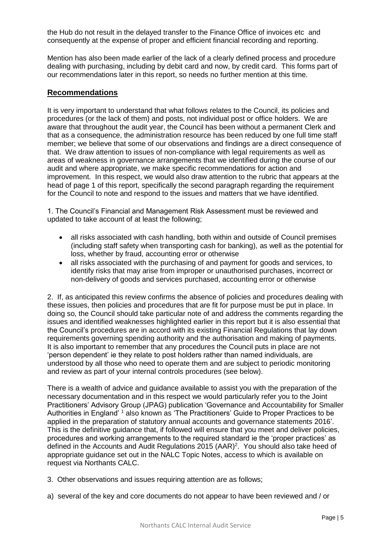the Hub do not result in the delayed transfer to the Finance Office of invoices etc and consequently at the expense of proper and efficient financial recording and reporting.

Mention has also been made earlier of the lack of a clearly defined process and procedure dealing with purchasing, including by debit card and now, by credit card. This forms part of our recommendations later in this report, so needs no further mention at this time.

#### **Recommendations**

It is very important to understand that what follows relates to the Council, its policies and procedures (or the lack of them) and posts, not individual post or office holders. We are aware that throughout the audit year, the Council has been without a permanent Clerk and that as a consequence, the administration resource has been reduced by one full time staff member; we believe that some of our observations and findings are a direct consequence of that. We draw attention to issues of non-compliance with legal requirements as well as areas of weakness in governance arrangements that we identified during the course of our audit and where appropriate, we make specific recommendations for action and improvement. In this respect, we would also draw attention to the rubric that appears at the head of page 1 of this report, specifically the second paragraph regarding the requirement for the Council to note and respond to the issues and matters that we have identified.

1. The Council's Financial and Management Risk Assessment must be reviewed and updated to take account of at least the following;

- all risks associated with cash handling, both within and outside of Council premises (including staff safety when transporting cash for banking), as well as the potential for loss, whether by fraud, accounting error or otherwise
- all risks associated with the purchasing of and payment for goods and services, to identify risks that may arise from improper or unauthorised purchases, incorrect or non-delivery of goods and services purchased, accounting error or otherwise

2. If, as anticipated this review confirms the absence of policies and procedures dealing with these issues, then policies and procedures that are fit for purpose must be put in place. In doing so, the Council should take particular note of and address the comments regarding the issues and identified weaknesses highlighted earlier in this report but it is also essential that the Council's procedures are in accord with its existing Financial Regulations that lay down requirements governing spending authority and the authorisation and making of payments. It is also important to remember that any procedures the Council puts in place are not 'person dependent' ie they relate to post holders rather than named individuals, are understood by all those who need to operate them and are subject to periodic monitoring and review as part of your internal controls procedures (see below).

There is a wealth of advice and guidance available to assist you with the preparation of the necessary documentation and in this respect we would particularly refer you to the Joint Practitioners' Advisory Group (JPAG) publication 'Governance and Accountability for Smaller Authorities in England' 1 also known as 'The Practitioners' Guide to Proper Practices to be applied in the preparation of statutory annual accounts and governance statements 2016'. This is the definitive guidance that, if followed will ensure that you meet and deliver policies, procedures and working arrangements to the required standard ie the 'proper practices' as defined in the Accounts and Audit Regulations 2015 (AAR)<sup>2</sup>. You should also take heed of appropriate guidance set out in the NALC Topic Notes, access to which is available on request via Northants CALC.

- 3. Other observations and issues requiring attention are as follows;
- a) several of the key and core documents do not appear to have been reviewed and / or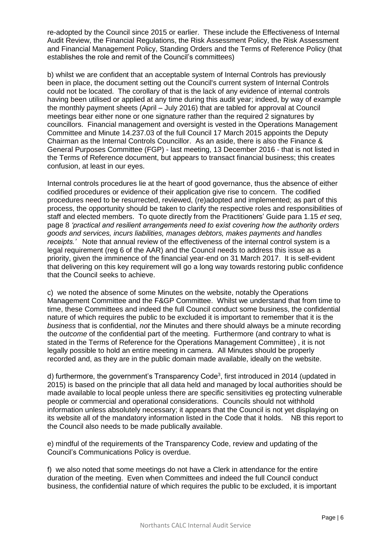re-adopted by the Council since 2015 or earlier. These include the Effectiveness of Internal Audit Review, the Financial Regulations, the Risk Assessment Policy, the Risk Assessment and Financial Management Policy, Standing Orders and the Terms of Reference Policy (that establishes the role and remit of the Council's committees)

b) whilst we are confident that an acceptable system of Internal Controls has previously been in place, the document setting out the Council's current system of Internal Controls could not be located. The corollary of that is the lack of any evidence of internal controls having been utilised or applied at any time during this audit year; indeed, by way of example the monthly payment sheets (April – July 2016) that are tabled for approval at Council meetings bear either none or one signature rather than the required 2 signatures by councillors. Financial management and oversight is vested in the Operations Management Committee and Minute 14.237.03 of the full Council 17 March 2015 appoints the Deputy Chairman as the Internal Controls Councillor. As an aside, there is also the Finance & General Purposes Committee (FGP) - last meeting, 13 December 2016 - that is not listed in the Terms of Reference document, but appears to transact financial business; this creates confusion, at least in our eyes.

Internal controls procedures lie at the heart of good governance, thus the absence of either codified procedures or evidence of their application give rise to concern. The codified procedures need to be resurrected, reviewed, (re)adopted and implemented; as part of this process, the opportunity should be taken to clarify the respective roles and responsibilities of staff and elected members. To quote directly from the Practitioners' Guide para 1.15 *et seq*, page 8 *'practical and resilient arrangements need to exist covering how the authority orders goods and services, incurs liabilities, manages debtors, makes payments and handles receipts.'* Note that annual review of the effectiveness of the internal control system is a legal requirement (reg 6 of the AAR) and the Council needs to address this issue as a priority, given the imminence of the financial year-end on 31 March 2017. It is self-evident that delivering on this key requirement will go a long way towards restoring public confidence that the Council seeks to achieve.

c) we noted the absence of some Minutes on the website, notably the Operations Management Committee and the F&GP Committee. Whilst we understand that from time to time, these Committees and indeed the full Council conduct some business, the confidential nature of which requires the public to be excluded it is important to remember that it is the *business* that is confidential, *not* the Minutes and there should always be a minute recording the *outcome* of the confidential part of the meeting. Furthermore (and contrary to what is stated in the Terms of Reference for the Operations Management Committee) , it is not legally possible to hold an entire meeting in camera. All Minutes should be properly recorded and, as they are in the public domain made available, ideally on the website.

d) furthermore, the government's Transparency Code<sup>3</sup>, first introduced in 2014 (updated in 2015) is based on the principle that all data held and managed by local authorities should be made available to local people unless there are specific sensitivities eg protecting vulnerable people or commercial and operational considerations. Councils should not withhold information unless absolutely necessary; it appears that the Council is not yet displaying on its website all of the mandatory information listed in the Code that it holds. NB this report to the Council also needs to be made publically available.

e) mindful of the requirements of the Transparency Code, review and updating of the Council's Communications Policy is overdue.

f) we also noted that some meetings do not have a Clerk in attendance for the entire duration of the meeting. Even when Committees and indeed the full Council conduct business, the confidential nature of which requires the public to be excluded, it is important